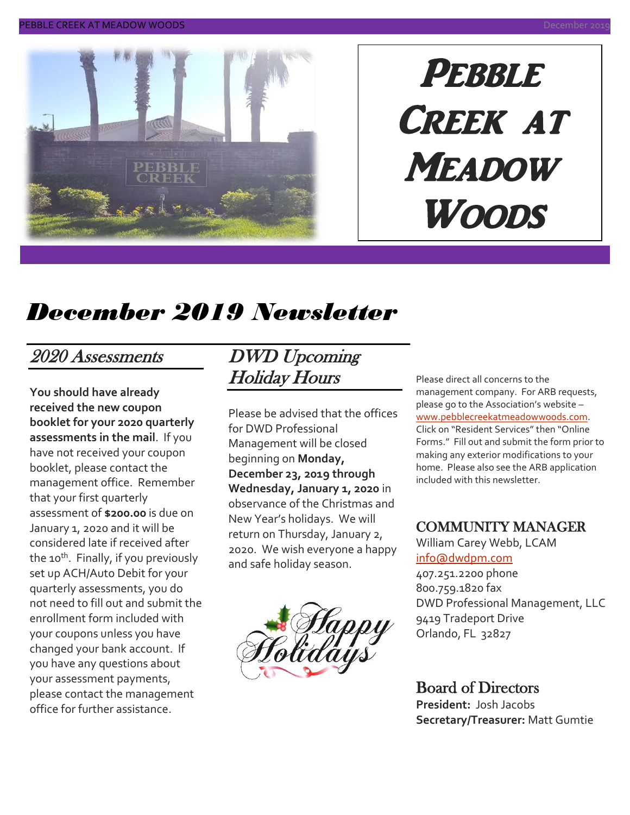

# **PEBBLE** Creek at **MEADOW** Woods

# *December 2019 Newsletter*

### 2020 Assessments

**You should have already received the new coupon booklet for your 2020 quarterly assessments in the mail**. If you have not received your coupon booklet, please contact the management office. Remember that your first quarterly assessment of **\$200.00** is due on January 1, 2020 and it will be considered late if received after the 10<sup>th</sup>. Finally, if you previously set up ACH/Auto Debit for your quarterly assessments, you do not need to fill out and submit the enrollment form included with your coupons unless you have changed your bank account. If you have any questions about your assessment payments, please contact the management office for further assistance.

### DWD Upcoming Holiday Hours

Please be advised that the offices for DWD Professional Management will be closed beginning on **Monday, December 23, 2019 through Wednesday, January 1, 2020** in observance of the Christmas and New Year's holidays. We will return on Thursday, January 2, 2020. We wish everyone a happy and safe holiday season.



Please direct all concerns to the management company. For ARB requests, please go to the Association's website – [www.pebblecreekatmeadowwoods.com.](http://www.pebblecreekatmeadowwoods.com/) Click on "Resident Services" then "Online Forms." Fill out and submit the form prior to making any exterior modifications to your home. Please also see the ARB application included with this newsletter.

#### COMMUNITY MANAGER

William Carey Webb, LCAM [info@dwdpm.com](mailto:info@dwdpm.com) 

407.251.2200 phone 800.759.1820 fax DWD Professional Management, LLC 9419 Tradeport Drive Orlando, FL 32827

#### Board of Directors **President:** Josh Jacobs **Secretary/Treasurer:** Matt Gumtie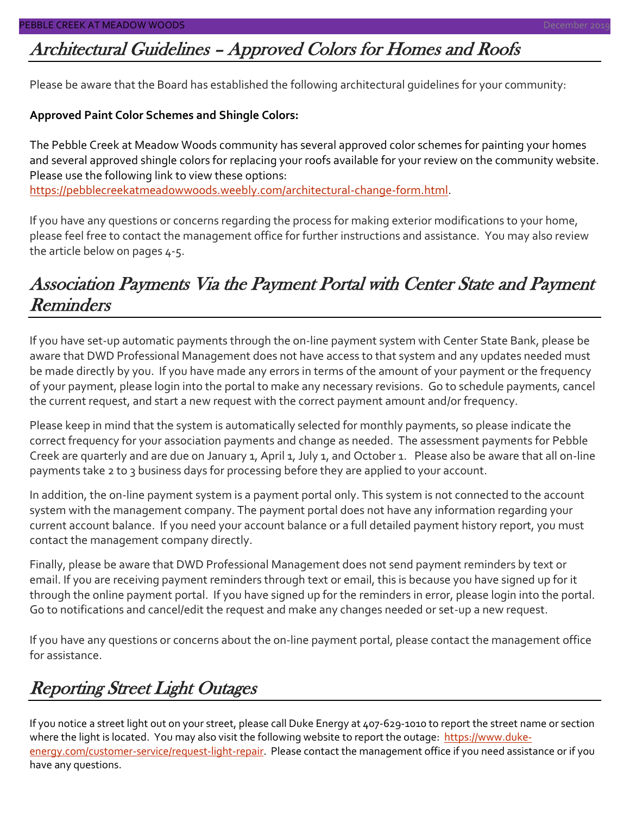### Architectural Guidelines – Approved Colors for Homes and Roofs

Please be aware that the Board has established the following architectural guidelines for your community:

#### **Approved Paint Color Schemes and Shingle Colors:**

The Pebble Creek at Meadow Woods community has several approved color schemes for painting your homes and several approved shingle colors for replacing your roofs available for your review on the community website. Please use the following link to view these options:

[https://pebblecreekatmeadowwoods.weebly.com/architectural-change-form.html.](https://pebblecreekatmeadowwoods.weebly.com/architectural-change-form.html)

If you have any questions or concerns regarding the process for making exterior modifications to your home, please feel free to contact the management office for further instructions and assistance. You may also review the article below on pages 4-5.

### Association Payments Via the Payment Portal with Center State and Payment **Reminders**

If you have set-up automatic payments through the on-line payment system with Center State Bank, please be aware that DWD Professional Management does not have access to that system and any updates needed must be made directly by you. If you have made any errors in terms of the amount of your payment or the frequency of your payment, please login into the portal to make any necessary revisions. Go to schedule payments, cancel the current request, and start a new request with the correct payment amount and/or frequency.

Please keep in mind that the system is automatically selected for monthly payments, so please indicate the correct frequency for your association payments and change as needed. The assessment payments for Pebble Creek are quarterly and are due on January 1, April 1, July 1, and October 1. Please also be aware that all on-line payments take 2 to 3 business days for processing before they are applied to your account.

In addition, the on-line payment system is a payment portal only. This system is not connected to the account system with the management company. The payment portal does not have any information regarding your current account balance. If you need your account balance or a full detailed payment history report, you must contact the management company directly.

Finally, please be aware that DWD Professional Management does not send payment reminders by text or email. If you are receiving payment reminders through text or email, this is because you have signed up for it through the online payment portal. If you have signed up for the reminders in error, please login into the portal. Go to notifications and cancel/edit the request and make any changes needed or set-up a new request.

If you have any questions or concerns about the on-line payment portal, please contact the management office for assistance.

#### Reporting Street Light Outages

If you notice a street light out on your street, please call Duke Energy at 407-629-1010 to report the street name or section where the light is located. You may also visit the following website to report the outage: [https://www.duke](https://www.duke-energy.com/customer-service/request-light-repair)[energy.com/customer-service/request-light-repair.](https://www.duke-energy.com/customer-service/request-light-repair) Please contact the management office if you need assistance or if you have any questions.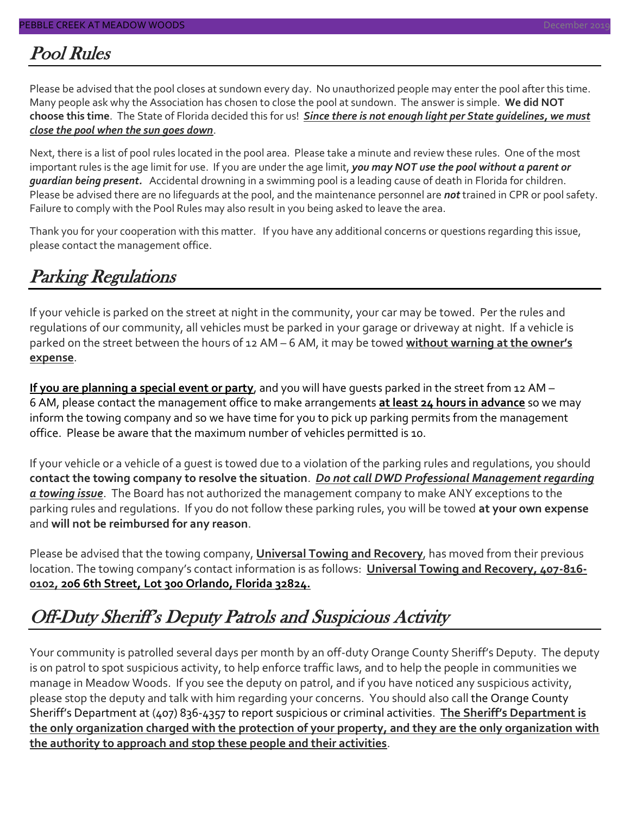### Pool Rules

Please be advised that the pool closes at sundown every day. No unauthorized people may enter the pool after this time. Many people ask why the Association has chosen to close the pool at sundown. The answer is simple. **We did NOT choose this time**. The State of Florida decided this for us! *Since there is not enough light per State guidelines, we must close the pool when the sun goes down*.

Next, there is a list of pool rules located in the pool area. Please take a minute and review these rules. One of the most important rules is the age limit for use. If you are under the age limit, *you may NOT use the pool without a parent or guardian being present.* Accidental drowning in a swimming pool is a leading cause of death in Florida for children. Please be advised there are no lifeguards at the pool, and the maintenance personnel are *not* trained in CPR or pool safety. Failure to comply with the Pool Rules may also result in you being asked to leave the area.

Thank you for your cooperation with this matter. If you have any additional concerns or questions regarding this issue, please contact the management office.

### Parking Regulations

If your vehicle is parked on the street at night in the community, your car may be towed. Per the rules and regulations of our community, all vehicles must be parked in your garage or driveway at night. If a vehicle is parked on the street between the hours of 12 AM – 6 AM, it may be towed **without warning at the owner's expense**.

**If you are planning a special event or party**, and you will have guests parked in the street from 12 AM – 6 AM, please contact the management office to make arrangements **at least 24 hours in advance** so we may inform the towing company and so we have time for you to pick up parking permits from the management office. Please be aware that the maximum number of vehicles permitted is 10.

If your vehicle or a vehicle of a guest is towed due to a violation of the parking rules and regulations, you should **contact the towing company to resolve the situation**. *Do not call DWD Professional Management regarding a towing issue*. The Board has not authorized the management company to make ANY exceptions to the parking rules and regulations. If you do not follow these parking rules, you will be towed **at your own expense** and **will not be reimbursed for any reason**.

Please be advised that the towing company, **Universal Towing and Recovery**, has moved from their previous location. The towing company's contact information is as follows: **Universal Towing and Recovery, 407-816- 0102, 206 6th Street, Lot 300 Orlando, Florida 32824.**

### Off-Duty Sheriff's Deputy Patrols and Suspicious Activity

Your community is patrolled several days per month by an off-duty Orange County Sheriff's Deputy. The deputy is on patrol to spot suspicious activity, to help enforce traffic laws, and to help the people in communities we manage in Meadow Woods. If you see the deputy on patrol, and if you have noticed any suspicious activity, please stop the deputy and talk with him regarding your concerns. You should also call the Orange County Sheriff's Department at (407) 836-4357 to report suspicious or criminal activities. **The Sheriff's Department is the only organization charged with the protection of your property, and they are the only organization with the authority to approach and stop these people and their activities**.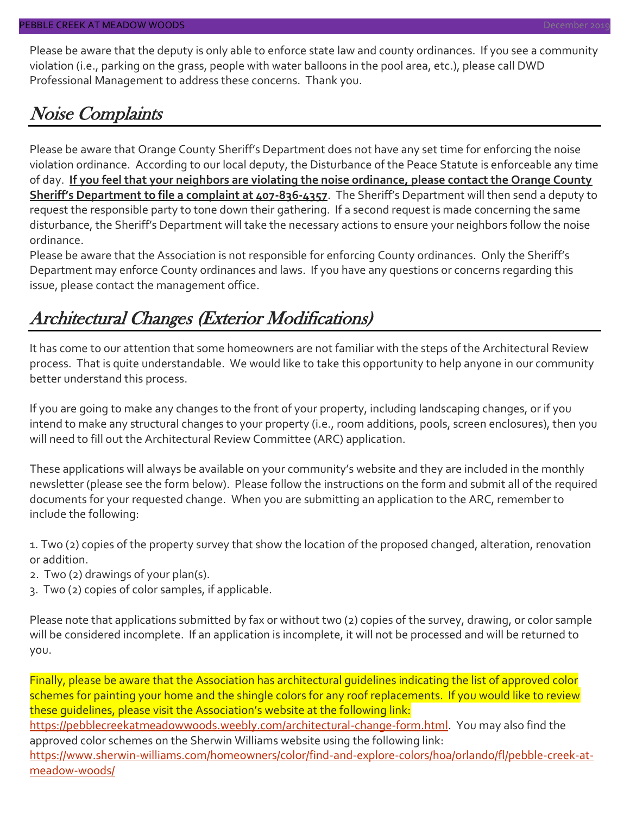Please be aware that the deputy is only able to enforce state law and county ordinances. If you see a community violation (i.e., parking on the grass, people with water balloons in the pool area, etc.), please call DWD Professional Management to address these concerns. Thank you.

### Noise Complaints

Please be aware that Orange County Sheriff's Department does not have any set time for enforcing the noise violation ordinance. According to our local deputy, the Disturbance of the Peace Statute is enforceable any time of day. **If you feel that your neighbors are violating the noise ordinance, please contact the Orange County Sheriff's Department to file a complaint at 407-836-4357**. The Sheriff's Department will then send a deputy to request the responsible party to tone down their gathering. If a second request is made concerning the same disturbance, the Sheriff's Department will take the necessary actions to ensure your neighbors follow the noise ordinance.

Please be aware that the Association is not responsible for enforcing County ordinances. Only the Sheriff's Department may enforce County ordinances and laws. If you have any questions or concerns regarding this issue, please contact the management office.

### Architectural Changes (Exterior Modifications)

It has come to our attention that some homeowners are not familiar with the steps of the Architectural Review process. That is quite understandable. We would like to take this opportunity to help anyone in our community better understand this process.

If you are going to make any changes to the front of your property, including landscaping changes, or if you intend to make any structural changes to your property (i.e., room additions, pools, screen enclosures), then you will need to fill out the Architectural Review Committee (ARC) application.

These applications will always be available on your community's website and they are included in the monthly newsletter (please see the form below). Please follow the instructions on the form and submit all of the required documents for your requested change. When you are submitting an application to the ARC, remember to include the following:

1. Two (2) copies of the property survey that show the location of the proposed changed, alteration, renovation or addition.

- 2. Two (2) drawings of your plan(s).
- 3. Two (2) copies of color samples, if applicable.

Please note that applications submitted by fax or without two (2) copies of the survey, drawing, or color sample will be considered incomplete. If an application is incomplete, it will not be processed and will be returned to you.

Finally, please be aware that the Association has architectural guidelines indicating the list of approved color schemes for painting your home and the shingle colors for any roof replacements. If you would like to review these guidelines, please visit the Association's website at the following link:

[https://pebblecreekatmeadowwoods.weebly.com/architectural-change-form.html.](https://pebblecreekatmeadowwoods.weebly.com/architectural-change-form.html) You may also find the approved color schemes on the Sherwin Williams website using the following link:

[https://www.sherwin-williams.com/homeowners/color/find-and-explore-colors/hoa/orlando/fl/pebble-creek-at](https://www.sherwin-williams.com/homeowners/color/find-and-explore-colors/hoa/orlando/fl/pebble-creek-at-meadow-woods/)[meadow-woods/](https://www.sherwin-williams.com/homeowners/color/find-and-explore-colors/hoa/orlando/fl/pebble-creek-at-meadow-woods/)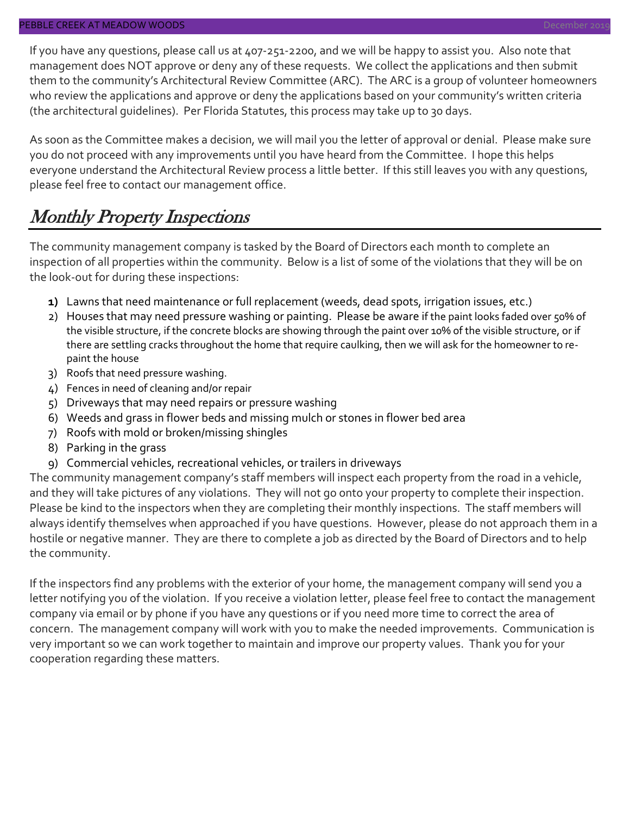If you have any questions, please call us at 407-251-2200, and we will be happy to assist you. Also note that management does NOT approve or deny any of these requests. We collect the applications and then submit them to the community's Architectural Review Committee (ARC). The ARC is a group of volunteer homeowners who review the applications and approve or deny the applications based on your community's written criteria (the architectural guidelines). Per Florida Statutes, this process may take up to 30 days.

As soon as the Committee makes a decision, we will mail you the letter of approval or denial. Please make sure you do not proceed with any improvements until you have heard from the Committee. I hope this helps everyone understand the Architectural Review process a little better. If this still leaves you with any questions, please feel free to contact our management office.

### Monthly Property Inspections

The community management company is tasked by the Board of Directors each month to complete an inspection of all properties within the community. Below is a list of some of the violations that they will be on the look-out for during these inspections:

- **1)** Lawns that need maintenance or full replacement (weeds, dead spots, irrigation issues, etc.)
- 2) Houses that may need pressure washing or painting. Please be aware if the paint looks faded over 50% of the visible structure, if the concrete blocks are showing through the paint over 10% of the visible structure, or if there are settling cracks throughout the home that require caulking, then we will ask for the homeowner to repaint the house
- 3) Roofs that need pressure washing.
- 4) Fences in need of cleaning and/or repair
- 5) Driveways that may need repairs or pressure washing
- 6) Weeds and grass in flower beds and missing mulch or stones in flower bed area
- 7) Roofs with mold or broken/missing shingles
- 8) Parking in the grass
- 9) Commercial vehicles, recreational vehicles, or trailers in driveways

The community management company's staff members will inspect each property from the road in a vehicle, and they will take pictures of any violations. They will not go onto your property to complete their inspection. Please be kind to the inspectors when they are completing their monthly inspections. The staff members will always identify themselves when approached if you have questions. However, please do not approach them in a hostile or negative manner. They are there to complete a job as directed by the Board of Directors and to help the community.

If the inspectors find any problems with the exterior of your home, the management company will send you a letter notifying you of the violation. If you receive a violation letter, please feel free to contact the management company via email or by phone if you have any questions or if you need more time to correct the area of concern. The management company will work with you to make the needed improvements. Communication is very important so we can work together to maintain and improve our property values. Thank you for your cooperation regarding these matters.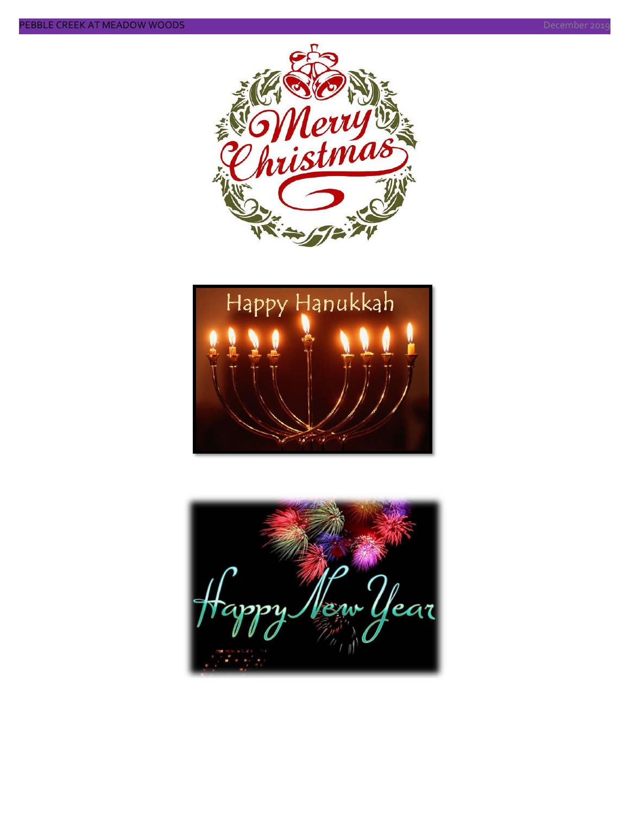



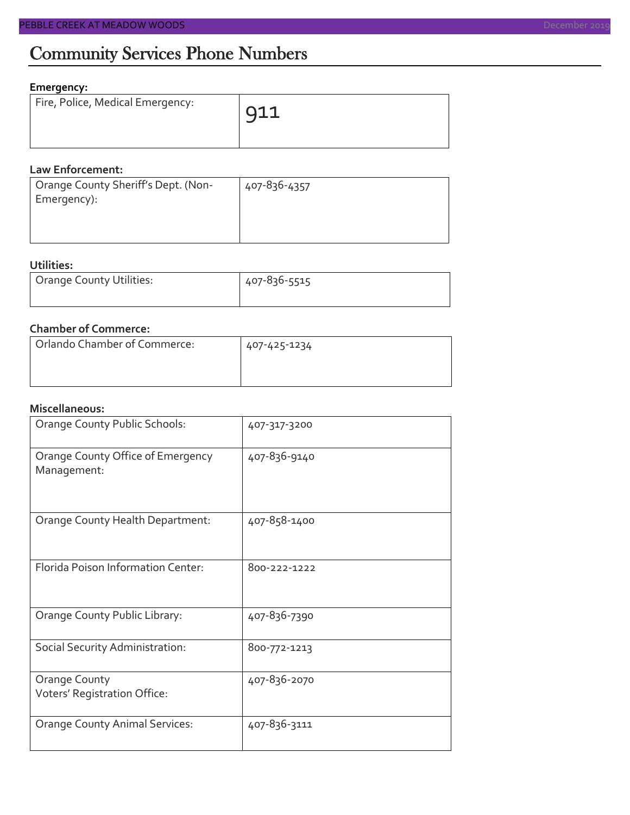#### **Emergency:**

| Fire, Police, Medical Emergency: | 911 |
|----------------------------------|-----|
|                                  |     |

#### **Law Enforcement:**

| Orange County Sheriff's Dept. (Non- | 407-836-4357 |
|-------------------------------------|--------------|
| Emergency):                         |              |
|                                     |              |

#### **Utilities:**

| Orange County Utilities: | 407-836-5515 |  |  |
|--------------------------|--------------|--|--|
|                          |              |  |  |

#### **Chamber of Commerce:**

| Orlando Chamber of Commerce: | 407-425-1234 |  |  |
|------------------------------|--------------|--|--|
|                              |              |  |  |

#### **Miscellaneous:**

| Orange County Public Schools:                        | 407-317-3200 |
|------------------------------------------------------|--------------|
| Orange County Office of Emergency<br>Management:     | 407-836-9140 |
| Orange County Health Department:                     | 407-858-1400 |
| Florida Poison Information Center:                   | 800-222-1222 |
| Orange County Public Library:                        | 407-836-7390 |
| Social Security Administration:                      | 800-772-1213 |
| <b>Orange County</b><br>Voters' Registration Office: | 407-836-2070 |
| <b>Orange County Animal Services:</b>                | 407-836-3111 |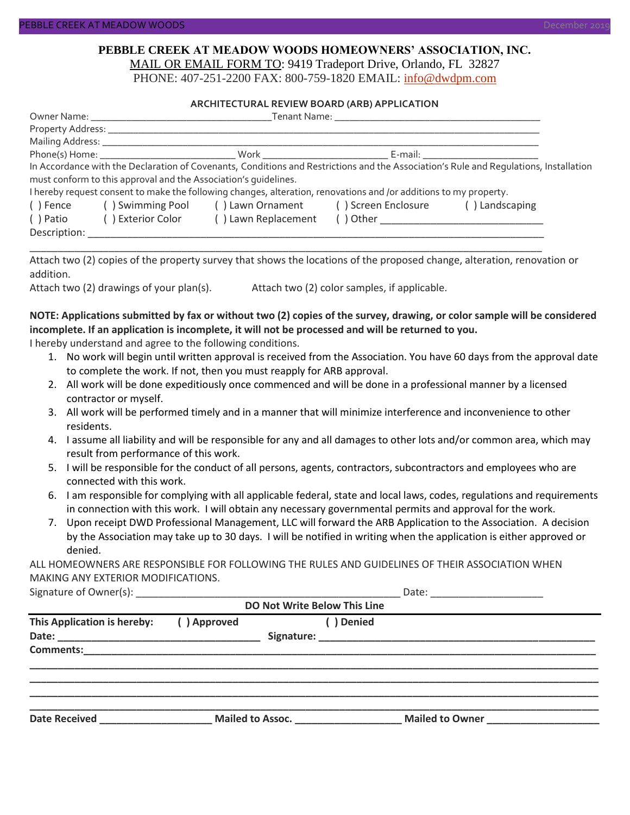#### **PEBBLE CREEK AT MEADOW WOODS HOMEOWNERS' ASSOCIATION, INC.** MAIL OR EMAIL FORM TO: 9419 Tradeport Drive, Orlando, FL 32827

PHONE: 407-251-2200 FAX: 800-759-1820 EMAIL: [info@dwdpm.com](mailto:info@dwdpm.com)

#### **ARCHITECTURAL REVIEW BOARD (ARB) APPLICATION**

|                                                                    | Tenant Name: Tenant Name                                        |                                                                                                                   |                                                                                                                                                                                                                                |                                                                                                                                       |  |
|--------------------------------------------------------------------|-----------------------------------------------------------------|-------------------------------------------------------------------------------------------------------------------|--------------------------------------------------------------------------------------------------------------------------------------------------------------------------------------------------------------------------------|---------------------------------------------------------------------------------------------------------------------------------------|--|
|                                                                    | Property Address: _______________                               |                                                                                                                   |                                                                                                                                                                                                                                |                                                                                                                                       |  |
|                                                                    | Mailing Address: ______________                                 |                                                                                                                   |                                                                                                                                                                                                                                |                                                                                                                                       |  |
|                                                                    |                                                                 |                                                                                                                   | E-mail: E-mail: E-mail: E-mail: E-mail: E-mail: E-mail: E-mail: E-mail: E-mail: E-mail: E-mail: E-mail: E-mail: E-mail: E-mail: E-mail: E-mail: E-mail: E-mail: E-mail: E-mail: E-mail: E-mail: E-mail: E-mail: E-mail: E-mail |                                                                                                                                       |  |
|                                                                    |                                                                 |                                                                                                                   |                                                                                                                                                                                                                                | In Accordance with the Declaration of Covenants, Conditions and Restrictions and the Association's Rule and Requlations, Installation |  |
|                                                                    | must conform to this approval and the Association's quidelines. |                                                                                                                   |                                                                                                                                                                                                                                |                                                                                                                                       |  |
|                                                                    |                                                                 | I hereby request consent to make the following changes, alteration, renovations and /or additions to my property. |                                                                                                                                                                                                                                |                                                                                                                                       |  |
| () Swimming Pool () Lawn Ornament () Screen Enclosure<br>( ) Fence |                                                                 |                                                                                                                   |                                                                                                                                                                                                                                | () Landscaping                                                                                                                        |  |
| ( ) Patio                                                          | ( ) Exterior Color                                              | () Lawn Replacement                                                                                               |                                                                                                                                                                                                                                |                                                                                                                                       |  |
| Description:                                                       |                                                                 |                                                                                                                   |                                                                                                                                                                                                                                |                                                                                                                                       |  |

Attach two (2) copies of the property survey that shows the locations of the proposed change, alteration, renovation or addition.

\_\_\_\_\_\_\_\_\_\_\_\_\_\_\_\_\_\_\_\_\_\_\_\_\_\_\_\_\_\_\_\_\_\_\_\_\_\_\_\_\_\_\_\_\_\_\_\_\_\_\_\_\_\_\_\_\_\_\_\_\_\_\_\_\_\_\_\_\_\_\_\_\_\_\_\_\_\_\_\_\_\_\_\_\_\_\_\_\_\_\_

Attach two (2) drawings of your plan(s). Attach two (2) color samples, if applicable.

#### **NOTE: Applications submitted by fax or without two (2) copies of the survey, drawing, or color sample will be considered incomplete. If an application is incomplete, it will not be processed and will be returned to you.**

I hereby understand and agree to the following conditions.

- 1. No work will begin until written approval is received from the Association. You have 60 days from the approval date to complete the work. If not, then you must reapply for ARB approval.
- 2. All work will be done expeditiously once commenced and will be done in a professional manner by a licensed contractor or myself.
- 3. All work will be performed timely and in a manner that will minimize interference and inconvenience to other residents.
- 4. I assume all liability and will be responsible for any and all damages to other lots and/or common area, which may result from performance of this work.
- 5. I will be responsible for the conduct of all persons, agents, contractors, subcontractors and employees who are connected with this work.
- 6. I am responsible for complying with all applicable federal, state and local laws, codes, regulations and requirements in connection with this work. I will obtain any necessary governmental permits and approval for the work.
- 7. Upon receipt DWD Professional Management, LLC will forward the ARB Application to the Association. A decision by the Association may take up to 30 days. I will be notified in writing when the application is either approved or denied.

ALL HOMEOWNERS ARE RESPONSIBLE FOR FOLLOWING THE RULES AND GUIDELINES OF THEIR ASSOCIATION WHEN MAKING ANY EXTERIOR MODIFICATIONS.

Signature of Owner(s):  $\Box$ 

| <b>DO Not Write Below This Line</b> |             |                                                 |                 |  |  |
|-------------------------------------|-------------|-------------------------------------------------|-----------------|--|--|
| This Application is hereby:         | () Approved | ( ) Denied                                      |                 |  |  |
| <b>Comments:</b>                    |             |                                                 |                 |  |  |
| <b>Date Received</b>                |             | Mailed to Assoc. <u>_______________________</u> | Mailed to Owner |  |  |